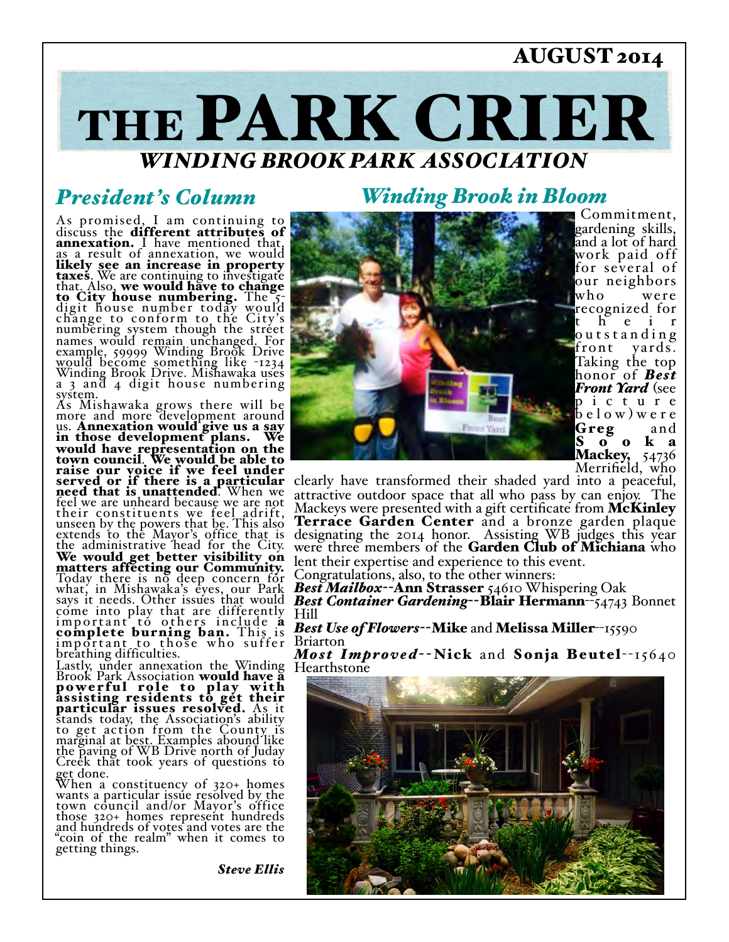### AUGUST 2014

# THE PARK CRIER *WINDING BROOK PARK ASSOCIATION*

### *President's Column*

As promised, I am continuing to discuss the different attributes of annexation. I have mentioned that, as a result of annexation, we would likely see an increase in property taxes. We are continuing to investigate<br>that. Also, we would have to change<br>to City house number today would<br>digit house number today would change to conform to the City's numbering system though the street names would remain unchanged. For example, 59999 Winding Brook Drive would become something like -1234 Winding Brook Drive. Mishawaka uses a 3 and 4 digit house numbering system.

As Mishawaka grows there will be more and more development around us. Annexation would give us a say<br>in those development plans. We would have representation on the town council. We would be able to raise our voice if we feel under served or if there is a particular need that is unattended. When we feel we are unheard because we are not their constituents we feel adrift, unseen by the powers that be. This also extends to the Mayor's office that is the administrative head for the City. We would get better visibility on matters affecting our Community. Today there is no deep concern for what, in Mishawaka's eyes, our Park says it needs. Other issues that would come into play that are differently important to others include a complete burning ban. This is important to those who suffer breathing difficulties.

Lastly, under annexation the Winding Brook Park Association would have a powerful role to play with assisting residents to get their particular issues resolved. As it stands today, the Association's ability to get action from the County is marginal at best. Examples abound like the paving of WB Drive north of Juday Creek that took years of questions to get done.

When a constituency of 320+ homes wants a particular issue resolved by the town council and/or Mayor's office those 320+ homes represent hundreds and hundreds of votes and votes are the "coin of the realm" when it comes to getting things.

*Steve Ellis*

# *Winding Brook in Bloom* Commitment,



gardening skills, and a lot of hard work paid off for several of our neighbors who were recognized for h e i r outstanding<br>front yards. yards. Taking the top honor of *Best Front Yard* (see p i c t u r e  $\frac{1}{2}$  e l o w ) w e r e Greg and S o o k a Mackey, 54736<br>Merrifield, who

clearly have transformed their shaded yard into a peaceful, attractive outdoor space that all who pass by can enjoy. The Mackeys were presented with a gift certificate from McKinley<br>Terrace Garden Center and a bronze garden plaque<br>designating the 2014 honor. Assisting WB judges this year were three members of the Garden Club of Michiana who lent their expertise and experience to this event.

Congratulations, also, to the other winners:

*Best Mailbox*--Ann Strasser 54610 Whispering Oak *Best Container Gardening*--Blair Hermann--54743 Bonnet Hill

#### *Best Use of Flowers*--Mike and Melissa Miller--15590 Briarton

*Most Improved*--Nick and Sonja Beutel--15640<br>Hearthstone

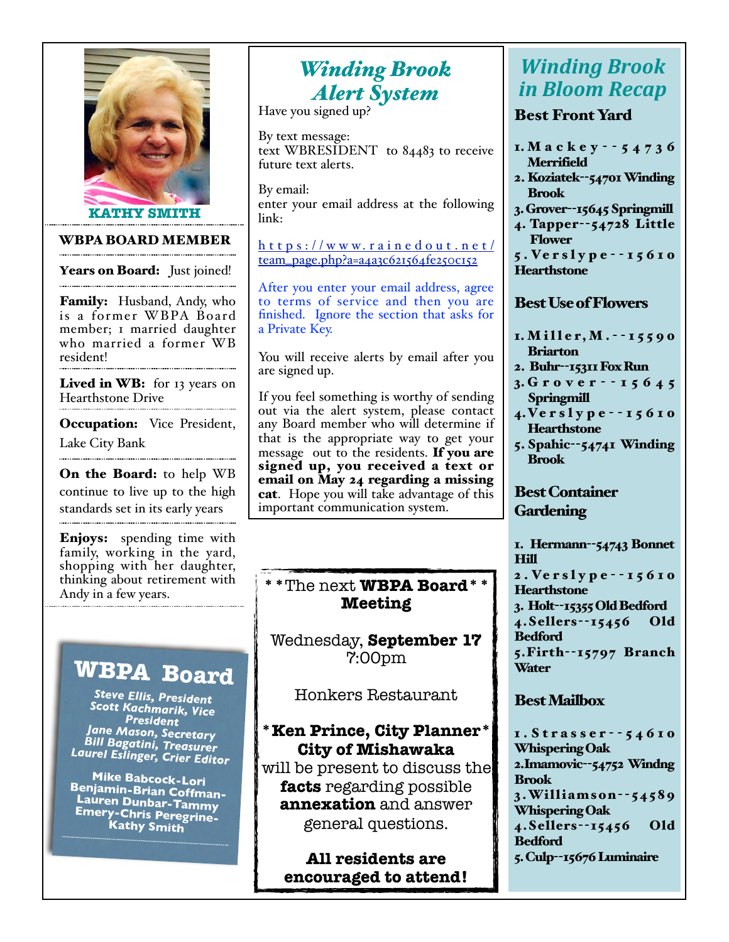

#### WBPA BOARD MEMBER

Years on Board: Just joined!

**Family:** Husband, Andy, who is a former WBPA Board member; 1 married daughter who married a former WB resident!

Lived in WB: for 13 years on Hearthstone Drive

**Occupation:** Vice President, Lake City Bank

On the Board: to help WB continue to live up to the high standards set in its early years

Enjoys: spending time with family, working in the yard, shopping with her daughter, thinking about retirement with Andy in a few years.

# **WBPA Board**

*Steve Ellis, President Scott Kachmarik, Vice President Jane Mason, Secretary Bill Bagatini, Treasurer Laurel Eslinger, Crier Editor*

**Mike Babcock-Lori Benjamin-Brian Coffman-Lauren Dunbar-Tammy Emery-Chris Peregrine-Kathy Smith**

*Alert System*

Have you signed up?

By text message: text WBRESIDENT to 84483 to receive future text alerts.

By email: enter your email address at the following link:

https://www.rainedout.net/ [team\\_page.php?a=a4a3c621564fe250c152](https://www.rainedout.net/team_page.php?a=a4a3c621564fe250c152)

After you enter your email address, agree to terms of service and then you are finished. Ignore the section that asks for a Private Key.

You will receive alerts by email after you are signed up.

If you feel something is worthy of sending out via the alert system, please contact any Board member who will determine if that is the appropriate way to get your message out to the residents. If you are signed up, you received a text or email on May 24 regarding a missing cat. Hope you will take advantage of this important communication system.

### **\*\***The next **WBPA Board\*\* Meeting**

Wednesday, **September 17** 7:00pm

Honkers Restaurant

### **\*Ken Prince, City Planner\* City of Mishawaka**

will be present to discuss the **facts** regarding possible **annexation** and answer general questions.

**All residents are encouraged to attend!**

### **Winding Brook** *inding Brook Winding Brook*<br>*Alert System in Bloom Recap*

### Best Front Yard

- 1. Mackey - 5 4 7 3 6 Merrifield
- 2. Koziatek--54701 Winding Brook
- 3. Grover--15645 Springmill
- 4. Tapper--54728 Little Flower
- 5 . Ve r s l y p e - 1 5 6 1 0 **Hearthstone**

#### Best Use of Flowers

- 1. Miller, M. - 15590 Briarton
- 2. Buhr--15311 Fox Run
- 3. Grover - 1 5 6 4 5 **Springmill**
- 4.Ve r s l y p e - 1 5 6 1 0 **Hearthstone**
- 5. Spahic--54741 Winding Brook

### Best Container **Gardening**

1. Hermann--54743 Bonnet Hill 2 . Ve r s l y p e - - 1 5 6 1 0 **Hearthstone** 3. Holt--15355 Old Bedford 4.Sellers--15456 Old Bedford 5.Firth--15797 Branch Water

### Best Mailbox

1.Strasser - - 5 4 6 1 0 Whispering Oak 2.Imamovic--54752 Windng Brook 3.Williamson- -5 4 5 8 9 Whispering Oak 4.Sellers--15456 Old Bedford 5. Culp--15676 Luminaire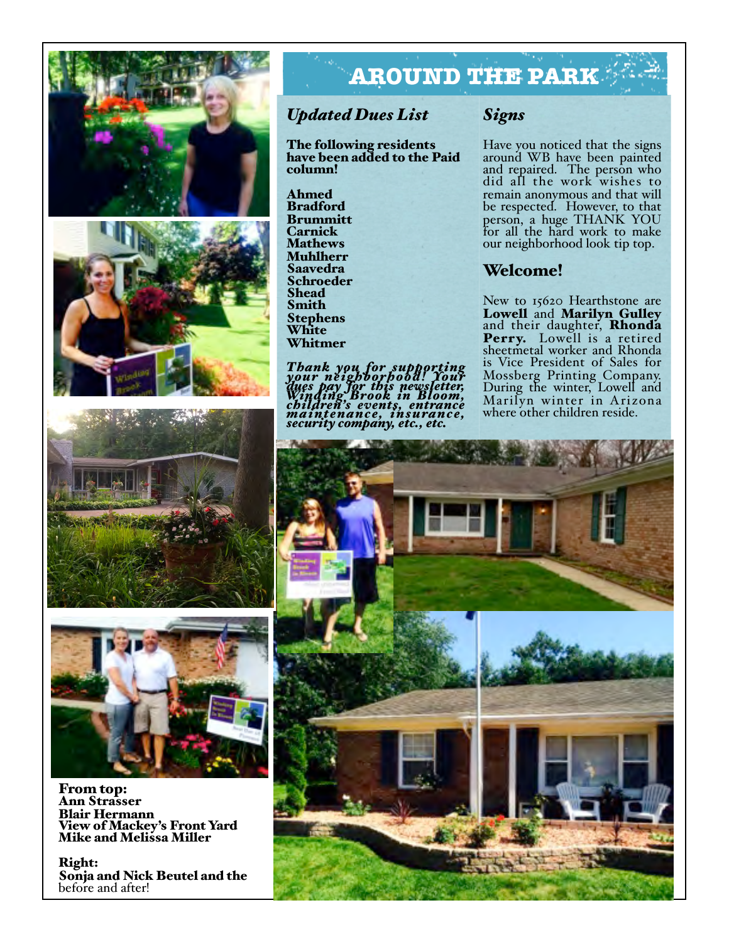



# **AROUND THE PARK**

### *Updated Dues List*

The following residents have been added to the Paid column!

Ahmed Bradford Brummitt **Carnick Mathews** Muhlherr **Saavedra** Schroeder **Shead** Smith Stephens White Whitmer

Thank you for supporting<br>your neighborhood! Your<br>dues pay for this newsletter,<br>Winding Brook in Bloom,<br>childrenance, insurance,<br>maintenance, insurance,<br>security company, etc., etc.

### *Signs*

Have you noticed that the signs around WB have been painted and repaired. The person who did all the work wishes to remain anonymous and that will be respected. However, to that person, a huge THANK YOU for all the hard work to make our neighborhood look tip top.

### Welcome!

New to 15620 Hearthstone are<br>Lowell and Marilyn Gulley Lowell and Marilyn Gulley<br>and their daughter, Rhonda Perry. Lowell is a retired sheetmetal worker and Rhonda is Vice President of Sales for Mossberg Printing Company. During the winter, Lowell and Marilyn winter in Arizona where other children reside.





From top: Ann Strasser Blair Hermann View of Mackey's Front Yard Mike and Melissa Miller

Right: Sonja and Nick Beutel and the before and after!